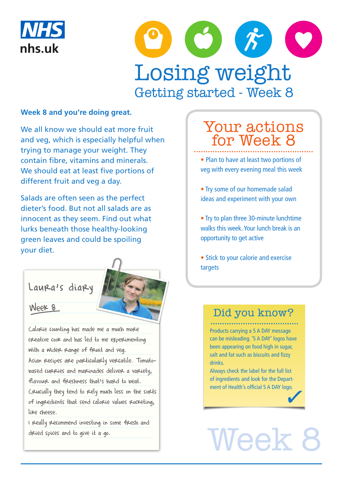



### **Week 8 and you're doing great.**

We all know we should eat more fruit and veg, which is especially helpful when trying to manage your weight. They contain fibre, vitamins and minerals. We should eat at least five portions of different fruit and veg a day.

Salads are often seen as the perfect dieter's food. But not all salads are as innocent as they seem. Find out what lurks beneath those healthy-looking green leaves and could be spoiling your diet.

# Laura's diary

# Week 8

Calorie counting has made me a much more creative cook and has led to me experimenting with a wider range of freuit and veg.

Asian recipes are particularly versatile. Tomatobased curries and marinades deliver a variety, flavour and freshness that's hard to beat.

Crucially they tend to rely much less on the sorts of ingredients that send calorie values rocketing, like cheese.

I really recommend investing in some fresh and dried spices and to give it a go.

# Your actions for Week 8

• Plan to have at least two portions of veg with every evening meal this week

• Try some of our homemade salad ideas and experiment with your own

• Try to plan three 30-minute lunchtime walks this week. Your lunch break is an opportunity to get active

• Stick to your calorie and exercise targets

# Did you know?

Products carrying a 5 A DAY message can be misleading. '5 A DAY' logos have been appearing on food high in sugar, salt and fat such as biscuits and fizzy drinks.

Always check the label for the full list of ingredients and look for the Department of Health's official 5 A DAY logo.

# Week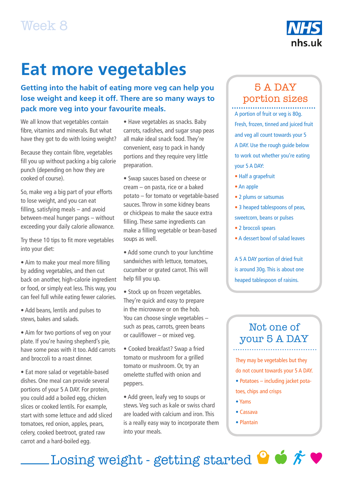

# **Eat more vegetables**

**Getting into the habit of eating more veg can help you lose weight and keep it off. There are so many ways to pack more veg into your favourite meals.**

We all know that vegetables contain fibre, vitamins and minerals. But what have they got to do with losing weight?

Because they contain fibre, vegetables fill you up without packing a big calorie punch (depending on how they are cooked of course).

So, make veg a big part of your efforts to lose weight, and you can eat filling, satisfying meals – and avoid between-meal hunger pangs – without exceeding your daily calorie allowance.

Try these 10 tips to fit more vegetables into your diet:

• Aim to make your meal more filling by adding vegetables, and then cut back on another, high-calorie ingredient or food, or simply eat less. This way, you can feel full while eating fewer calories.

• Add beans, lentils and pulses to stews, bakes and salads.

• Aim for two portions of veg on your plate. If you're having shepherd's pie, have some peas with it too. Add carrots and broccoli to a roast dinner.

• Eat more salad or vegetable-based dishes. One meal can provide several portions of your 5 A DAY. For protein, you could add a boiled egg, chicken slices or cooked lentils. For example, start with some lettuce and add sliced tomatoes, red onion, apples, pears, celery, cooked beetroot, grated raw carrot and a hard-boiled egg.

• Have vegetables as snacks. Baby carrots, radishes, and sugar snap peas all make ideal snack food. They're convenient, easy to pack in handy portions and they require very little preparation.

• Swap sauces based on cheese or cream – on pasta, rice or a baked potato – for tomato or vegetable-based sauces. Throw in some kidney beans or chickpeas to make the sauce extra filling. These same ingredients can make a filling vegetable or bean-based soups as well.

• Add some crunch to your lunchtime sandwiches with lettuce, tomatoes, cucumber or grated carrot. This will help fill you up.

• Stock up on frozen vegetables. They're quick and easy to prepare in the microwave or on the hob. You can choose single vegetables – such as peas, carrots, green beans or cauliflower – or mixed veg.

• Cooked breakfast? Swap a fried tomato or mushroom for a grilled tomato or mushroom. Or, try an omelette stuffed with onion and peppers.

• Add green, leafy veg to soups or stews. Veg such as kale or swiss chard are loaded with calcium and iron. This is a really easy way to incorporate them into your meals.

# 5 A DAY portion sizes

A portion of fruit or veg is 80g. Fresh, frozen, tinned and juiced fruit and veg all count towards your 5 A DAY. Use the rough guide below to work out whether you're eating your 5 A DAY:

- Half a grapefruit
- An apple
- 2 plums or satsumas
- 3 heaped tablespoons of peas, sweetcorn, beans or pulses
- 2 broccoli spears
- A dessert bowl of salad leaves

A 5 A DAY portion of dried fruit is around 30g. This is about one heaped tablespoon of raisins.

# Not one of your 5 A DAY

They may be vegetables but they do not count towards your 5 A DAY.

- Potatoes including jacket potatoes, chips and crisps
- Yams
- Cassava
- Plantain

Losing weight - getting started  $\bullet$   $\star\bullet$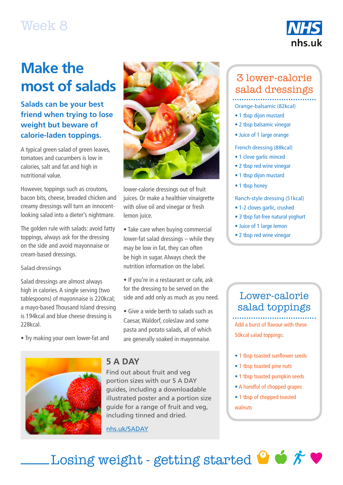# Week 8



# **Make the most of salads**

# **Salads can be your best friend when trying to lose weight but beware of calorie-laden toppings.**

A typical green salad of green leaves, tomatoes and cucumbers is low in calories, salt and fat and high in nutritional value.

However, toppings such as croutons, bacon bits, cheese, breaded chicken and creamy dressings will turn an innocentlooking salad into a dieter's nightmare.

The golden rule with salads: avoid fatty toppings, always ask for the dressing on the side and avoid mayonnaise or cream-based dressings.

Salad dressings

Salad dressings are almost always high in calories. A single serving (two tablespoons) of mayonnaise is 220kcal; a mayo-based Thousand Island dressing is 194kcal and blue cheese dressing is 228kcal.

• Try making your own lower-fat and



lower-calorie dressings out of fruit juices. Or make a healthier vinaigrette with olive oil and vinegar or fresh lemon juice.

• Take care when buying commercial lower-fat salad dressings – while they may be low in fat, they can often be high in sugar. Always check the nutrition information on the label.

• If you're in a restaurant or cafe, ask for the dressing to be served on the side and add only as much as you need.

• Give a wide berth to salads such as Caesar, Waldorf, coleslaw and some pasta and potato salads, all of which are generally soaked in mayonnaise.



### **5 A DAY**

Find out about fruit and veg portion sizes with our 5 A DAY guides, including a downloadable illustrated poster and a portion size guide for a range of fruit and veg, including tinned and dried.

[nhs.uk/5ADAY](https://www.nhs.uk/change4life/food-facts/five-a-day)

# 3 lower-calorie salad dressings

## Orange-balsamic (82kcal)

- 1 tbsp dijon mustard
- 2 tbsp balsamic vinegar
- Juice of 1 large orange

### French dressing (88kcal)

- 1 clove garlic minced
- 2 tbsp red wine vinegar
- 1 tbsp dijon mustard
- 1 tbsp honey

### Ranch-style dressing (51kcal)

- 1-2 cloves garlic, crushed
- 3 tbsp fat-free natural yoghurt
- Juice of 1 large lemon
- 2 tbsp red wine vinegar

# Lower-calorie salad toppings

Add a burst of flavour with these 50kcal salad toppings:

- 1 tbsp toasted sunflower seeds
- 1 tbsp toasted pine nuts
- 1 tbsp toasted pumpkin seeds
- A handful of chopped grapes
- 1 tbsp of chopped toasted walnuts

Losing weight - getting started  $\bullet$   $\star$